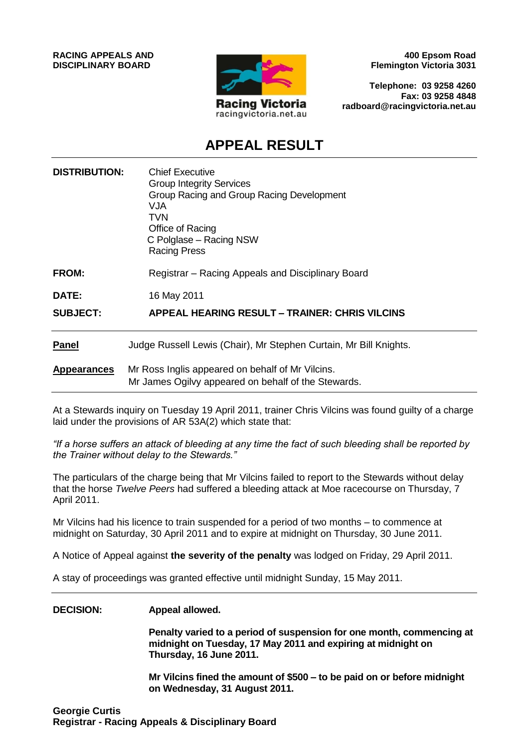

**400 Epsom Road Flemington Victoria 3031**

**Telephone: 03 9258 4260 Fax: 03 9258 4848 radboard@racingvictoria.net.au**

# **APPEAL RESULT**

| <b>DISTRIBUTION:</b> | <b>Chief Executive</b><br><b>Group Integrity Services</b><br>Group Racing and Group Racing Development<br><b>VJA</b><br>TVN<br>Office of Racing<br>C Polglase - Racing NSW<br><b>Racing Press</b> |
|----------------------|---------------------------------------------------------------------------------------------------------------------------------------------------------------------------------------------------|
| <b>FROM:</b>         | Registrar – Racing Appeals and Disciplinary Board                                                                                                                                                 |
| DATE:                | 16 May 2011                                                                                                                                                                                       |
| <b>SUBJECT:</b>      | <b>APPEAL HEARING RESULT - TRAINER: CHRIS VILCINS</b>                                                                                                                                             |
| <b>Panel</b>         | Judge Russell Lewis (Chair), Mr Stephen Curtain, Mr Bill Knights.                                                                                                                                 |
| <b>Appearances</b>   | Mr Ross Inglis appeared on behalf of Mr Vilcins.<br>Mr James Ogilvy appeared on behalf of the Stewards.                                                                                           |

At a Stewards inquiry on Tuesday 19 April 2011, trainer Chris Vilcins was found guilty of a charge laid under the provisions of AR 53A(2) which state that:

*"If a horse suffers an attack of bleeding at any time the fact of such bleeding shall be reported by the Trainer without delay to the Stewards."*

The particulars of the charge being that Mr Vilcins failed to report to the Stewards without delay that the horse *Twelve Peers* had suffered a bleeding attack at Moe racecourse on Thursday, 7 April 2011.

Mr Vilcins had his licence to train suspended for a period of two months – to commence at midnight on Saturday, 30 April 2011 and to expire at midnight on Thursday, 30 June 2011.

A Notice of Appeal against **the severity of the penalty** was lodged on Friday, 29 April 2011.

A stay of proceedings was granted effective until midnight Sunday, 15 May 2011.

### **DECISION: Appeal allowed.**

**Penalty varied to a period of suspension for one month, commencing at midnight on Tuesday, 17 May 2011 and expiring at midnight on Thursday, 16 June 2011.**

**Mr Vilcins fined the amount of \$500 – to be paid on or before midnight on Wednesday, 31 August 2011.**

**Georgie Curtis Registrar - Racing Appeals & Disciplinary Board**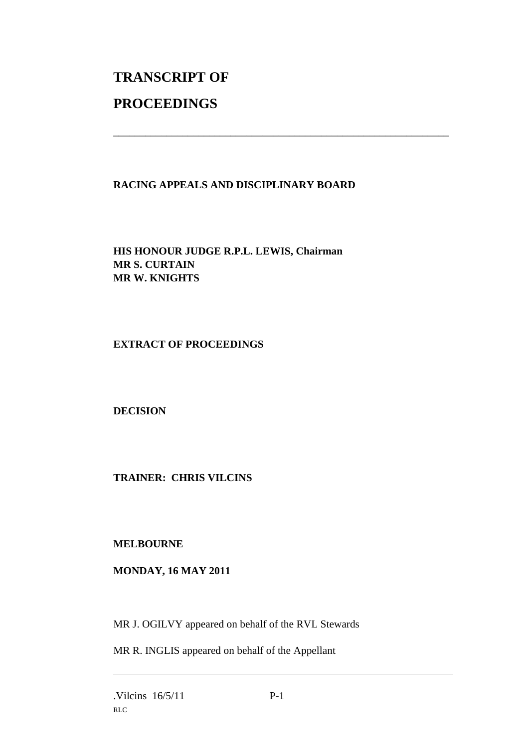# **TRANSCRIPT OF PROCEEDINGS**

# **RACING APPEALS AND DISCIPLINARY BOARD**

\_\_\_\_\_\_\_\_\_\_\_\_\_\_\_\_\_\_\_\_\_\_\_\_\_\_\_\_\_\_\_\_\_\_\_\_\_\_\_\_\_\_\_\_\_\_\_\_\_\_\_\_\_\_\_\_\_\_\_\_\_\_\_

**HIS HONOUR JUDGE R.P.L. LEWIS, Chairman MR S. CURTAIN MR W. KNIGHTS**

**EXTRACT OF PROCEEDINGS**

**DECISION**

**TRAINER: CHRIS VILCINS**

**MELBOURNE**

# **MONDAY, 16 MAY 2011**

MR J. OGILVY appeared on behalf of the RVL Stewards

MR R. INGLIS appeared on behalf of the Appellant